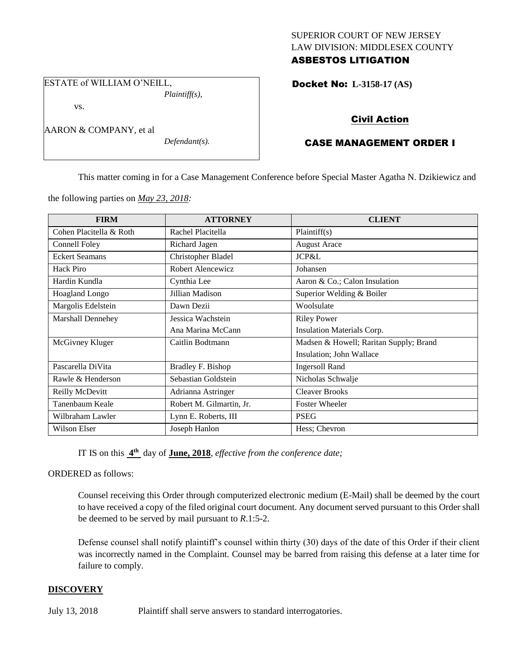## SUPERIOR COURT OF NEW JERSEY LAW DIVISION: MIDDLESEX COUNTY ASBESTOS LITIGATION

ESTATE of WILLIAM O'NEILL, *Plaintiff(s),*

vs.

AARON & COMPANY, et al

*Defendant(s).*

Docket No: **L-3158-17 (AS)** 

# Civil Action

# CASE MANAGEMENT ORDER I

This matter coming in for a Case Management Conference before Special Master Agatha N. Dzikiewicz and

the following parties on *May 23, 2018:*

| <b>FIRM</b>             | <b>ATTORNEY</b>          | <b>CLIENT</b>                          |
|-------------------------|--------------------------|----------------------------------------|
| Cohen Placitella & Roth | Rachel Placitella        | Plaintiff(s)                           |
| Connell Foley           | Richard Jagen            | <b>August Arace</b>                    |
| <b>Eckert Seamans</b>   | Christopher Bladel       | JCP&L                                  |
| Hack Piro               | Robert Alencewicz        | Johansen                               |
| Hardin Kundla           | Cynthia Lee              | Aaron & Co.; Calon Insulation          |
| <b>Hoagland Longo</b>   | Jillian Madison          | Superior Welding & Boiler              |
| Margolis Edelstein      | Dawn Dezii               | Woolsulate                             |
| Marshall Dennehey       | Jessica Wachstein        | <b>Riley Power</b>                     |
|                         | Ana Marina McCann        | Insulation Materials Corp.             |
| McGivney Kluger         | Caitlin Bodtmann         | Madsen & Howell; Raritan Supply; Brand |
|                         |                          | Insulation; John Wallace               |
| Pascarella DiVita       | Bradley F. Bishop        | <b>Ingersoll Rand</b>                  |
| Rawle & Henderson       | Sebastian Goldstein      | Nicholas Schwalje                      |
| Reilly McDevitt         | Adrianna Astringer       | <b>Cleaver Brooks</b>                  |
| Tanenbaum Keale         | Robert M. Gilmartin, Jr. | <b>Foster Wheeler</b>                  |
| Wilbraham Lawler        | Lynn E. Roberts, III     | <b>PSEG</b>                            |
| Wilson Elser            | Joseph Hanlon            | Hess; Chevron                          |

IT IS on this  $4^{\text{th}}$  day of **June, 2018**, *effective from the conference date*;

ORDERED as follows:

Counsel receiving this Order through computerized electronic medium (E-Mail) shall be deemed by the court to have received a copy of the filed original court document. Any document served pursuant to this Order shall be deemed to be served by mail pursuant to *R*.1:5-2.

Defense counsel shall notify plaintiff's counsel within thirty (30) days of the date of this Order if their client was incorrectly named in the Complaint. Counsel may be barred from raising this defense at a later time for failure to comply.

## **DISCOVERY**

July 13, 2018 Plaintiff shall serve answers to standard interrogatories.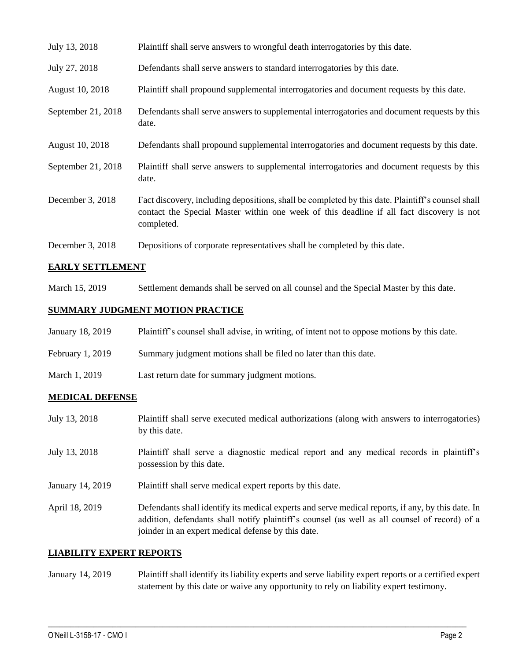| July 13, 2018      | Plaintiff shall serve answers to wrongful death interrogatories by this date.                                                                                                                               |
|--------------------|-------------------------------------------------------------------------------------------------------------------------------------------------------------------------------------------------------------|
| July 27, 2018      | Defendants shall serve answers to standard interrogatories by this date.                                                                                                                                    |
| August 10, 2018    | Plaintiff shall propound supplemental interrogatories and document requests by this date.                                                                                                                   |
| September 21, 2018 | Defendants shall serve answers to supplemental interrogatories and document requests by this<br>date.                                                                                                       |
| August 10, 2018    | Defendants shall propound supplemental interrogatories and document requests by this date.                                                                                                                  |
| September 21, 2018 | Plaintiff shall serve answers to supplemental interrogatories and document requests by this<br>date.                                                                                                        |
| December 3, 2018   | Fact discovery, including depositions, shall be completed by this date. Plaintiff's counsel shall<br>contact the Special Master within one week of this deadline if all fact discovery is not<br>completed. |
| December 3, 2018   | Depositions of corporate representatives shall be completed by this date.                                                                                                                                   |

### **EARLY SETTLEMENT**

March 15, 2019 Settlement demands shall be served on all counsel and the Special Master by this date.

## **SUMMARY JUDGMENT MOTION PRACTICE**

| January 18, 2019 | Plaintiff's counsel shall advise, in writing, of intent not to oppose motions by this date. |
|------------------|---------------------------------------------------------------------------------------------|
| February 1, 2019 | Summary judgment motions shall be filed no later than this date.                            |
| March 1, 2019    | Last return date for summary judgment motions.                                              |

## **MEDICAL DEFENSE**

| July 13, 2018    | Plaintiff shall serve executed medical authorizations (along with answers to interrogatories)<br>by this date.                                                                                                                                           |
|------------------|----------------------------------------------------------------------------------------------------------------------------------------------------------------------------------------------------------------------------------------------------------|
| July 13, 2018    | Plaintiff shall serve a diagnostic medical report and any medical records in plaintiff's<br>possession by this date.                                                                                                                                     |
| January 14, 2019 | Plaintiff shall serve medical expert reports by this date.                                                                                                                                                                                               |
| April 18, 2019   | Defendants shall identify its medical experts and serve medical reports, if any, by this date. In<br>addition, defendants shall notify plaintiff's counsel (as well as all counsel of record) of a<br>joinder in an expert medical defense by this date. |

#### **LIABILITY EXPERT REPORTS**

January 14, 2019 Plaintiff shall identify its liability experts and serve liability expert reports or a certified expert statement by this date or waive any opportunity to rely on liability expert testimony.

 $\_$  ,  $\_$  ,  $\_$  ,  $\_$  ,  $\_$  ,  $\_$  ,  $\_$  ,  $\_$  ,  $\_$  ,  $\_$  ,  $\_$  ,  $\_$  ,  $\_$  ,  $\_$  ,  $\_$  ,  $\_$  ,  $\_$  ,  $\_$  ,  $\_$  ,  $\_$  ,  $\_$  ,  $\_$  ,  $\_$  ,  $\_$  ,  $\_$  ,  $\_$  ,  $\_$  ,  $\_$  ,  $\_$  ,  $\_$  ,  $\_$  ,  $\_$  ,  $\_$  ,  $\_$  ,  $\_$  ,  $\_$  ,  $\_$  ,